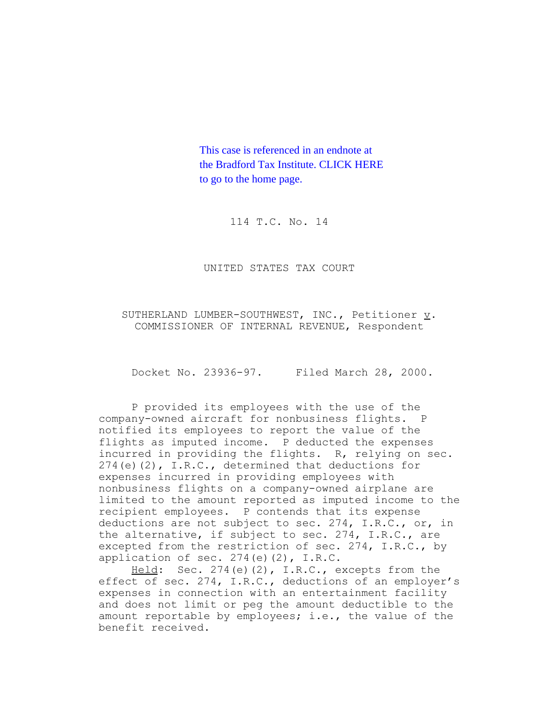This case is referenced in an endnote at [the Bradford Tax Institute. CLICK HERE](http://www.bradfordtaxinstitute.com/)  to go to the home page.

114 T.C. No. 14

UNITED STATES TAX COURT

SUTHERLAND LUMBER-SOUTHWEST, INC., Petitioner v. COMMISSIONER OF INTERNAL REVENUE, Respondent

Docket No. 23936-97. Filed March 28, 2000.

P provided its employees with the use of the company-owned aircraft for nonbusiness flights. P notified its employees to report the value of the flights as imputed income. P deducted the expenses incurred in providing the flights. R, relying on sec. 274(e)(2), I.R.C., determined that deductions for expenses incurred in providing employees with nonbusiness flights on a company-owned airplane are limited to the amount reported as imputed income to the recipient employees. P contends that its expense deductions are not subject to sec. 274, I.R.C., or, in the alternative, if subject to sec. 274, I.R.C., are excepted from the restriction of sec. 274, I.R.C., by application of sec.  $274(e)(2)$ , I.R.C.

Held: Sec. 274(e)(2), I.R.C., excepts from the effect of sec. 274, I.R.C., deductions of an employer's expenses in connection with an entertainment facility and does not limit or peg the amount deductible to the amount reportable by employees; i.e., the value of the benefit received.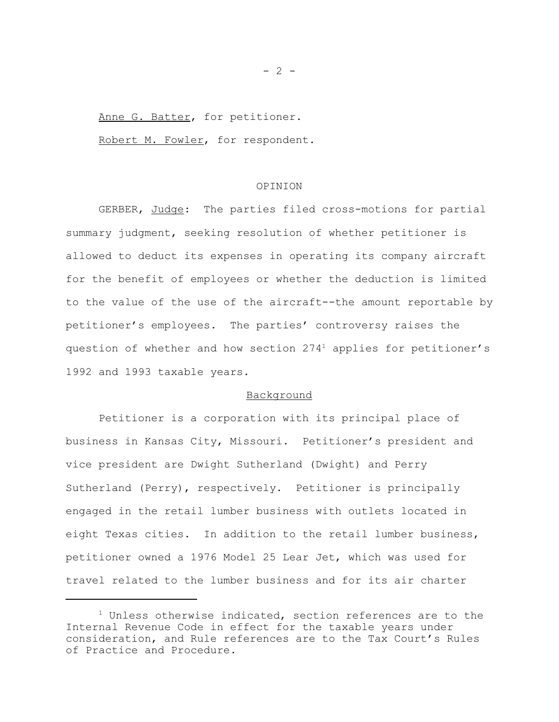Anne G. Batter, for petitioner.

Robert M. Fowler, for respondent.

## OPINION

GERBER, Judge: The parties filed cross-motions for partial summary judgment, seeking resolution of whether petitioner is allowed to deduct its expenses in operating its company aircraft for the benefit of employees or whether the deduction is limited to the value of the use of the aircraft--the amount reportable by petitioner's employees. The parties' controversy raises the question of whether and how section 2741 applies for petitioner's 1992 and 1993 taxable years.

## Background

Petitioner is a corporation with its principal place of business in Kansas City, Missouri. Petitioner's president and vice president are Dwight Sutherland (Dwight) and Perry Sutherland (Perry), respectively. Petitioner is principally engaged in the retail lumber business with outlets located in eight Texas cities. In addition to the retail lumber business, petitioner owned a 1976 Model 25 Lear Jet, which was used for travel related to the lumber business and for its air charter

 $- 2 -$ 

 $1$  Unless otherwise indicated, section references are to the Internal Revenue Code in effect for the taxable years under consideration, and Rule references are to the Tax Court's Rules of Practice and Procedure.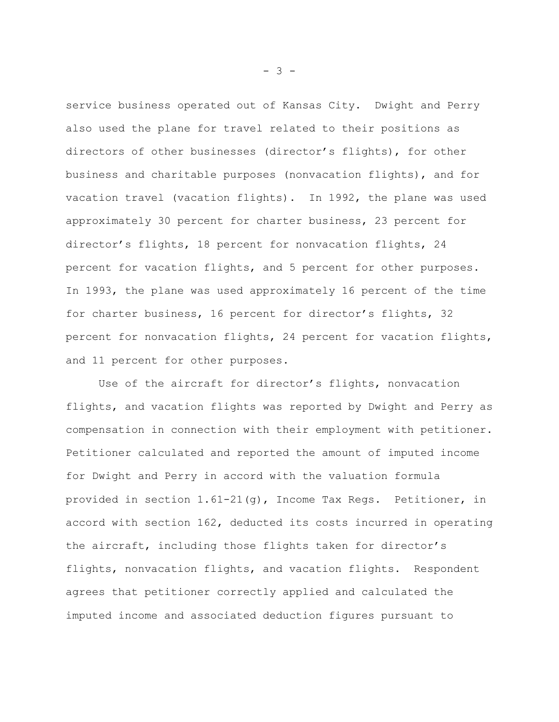service business operated out of Kansas City. Dwight and Perry also used the plane for travel related to their positions as directors of other businesses (director's flights), for other business and charitable purposes (nonvacation flights), and for vacation travel (vacation flights). In 1992, the plane was used approximately 30 percent for charter business, 23 percent for director's flights, 18 percent for nonvacation flights, 24 percent for vacation flights, and 5 percent for other purposes. In 1993, the plane was used approximately 16 percent of the time for charter business, 16 percent for director's flights, 32 percent for nonvacation flights, 24 percent for vacation flights, and 11 percent for other purposes.

Use of the aircraft for director's flights, nonvacation flights, and vacation flights was reported by Dwight and Perry as compensation in connection with their employment with petitioner. Petitioner calculated and reported the amount of imputed income for Dwight and Perry in accord with the valuation formula provided in section 1.61-21(g), Income Tax Regs. Petitioner, in accord with section 162, deducted its costs incurred in operating the aircraft, including those flights taken for director's flights, nonvacation flights, and vacation flights. Respondent agrees that petitioner correctly applied and calculated the imputed income and associated deduction figures pursuant to

- 3 -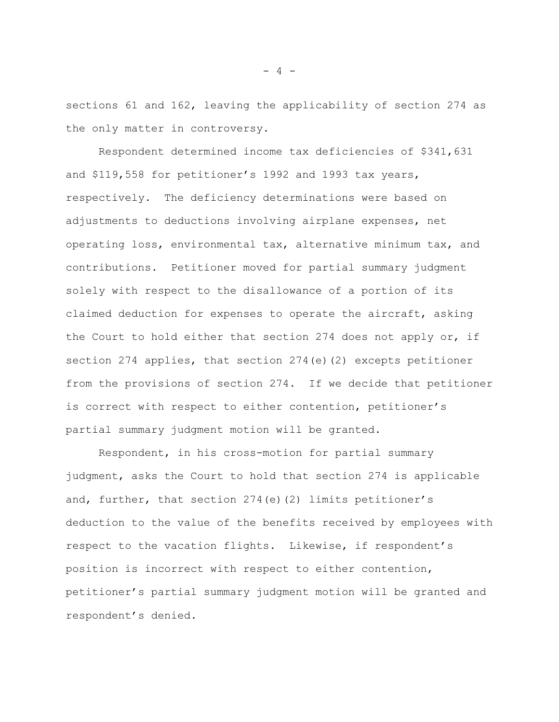sections 61 and 162, leaving the applicability of section 274 as the only matter in controversy.

Respondent determined income tax deficiencies of \$341,631 and \$119,558 for petitioner's 1992 and 1993 tax years, respectively. The deficiency determinations were based on adjustments to deductions involving airplane expenses, net operating loss, environmental tax, alternative minimum tax, and contributions. Petitioner moved for partial summary judgment solely with respect to the disallowance of a portion of its claimed deduction for expenses to operate the aircraft, asking the Court to hold either that section 274 does not apply or, if section 274 applies, that section 274(e)(2) excepts petitioner from the provisions of section 274. If we decide that petitioner is correct with respect to either contention, petitioner's partial summary judgment motion will be granted.

Respondent, in his cross-motion for partial summary judgment, asks the Court to hold that section 274 is applicable and, further, that section  $274(e)(2)$  limits petitioner's deduction to the value of the benefits received by employees with respect to the vacation flights. Likewise, if respondent's position is incorrect with respect to either contention, petitioner's partial summary judgment motion will be granted and respondent's denied.

- 4 -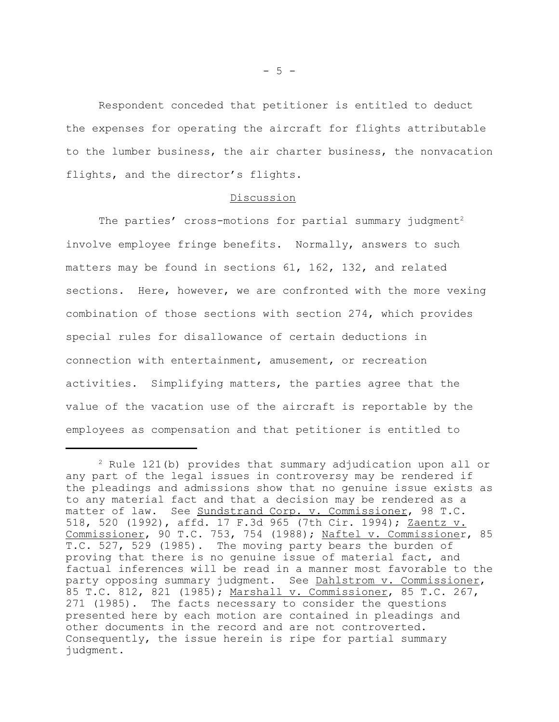Respondent conceded that petitioner is entitled to deduct the expenses for operating the aircraft for flights attributable to the lumber business, the air charter business, the nonvacation flights, and the director's flights.

## Discussion

The parties' cross-motions for partial summary judgment<sup>2</sup> involve employee fringe benefits. Normally, answers to such matters may be found in sections 61, 162, 132, and related sections. Here, however, we are confronted with the more vexing combination of those sections with section 274, which provides special rules for disallowance of certain deductions in connection with entertainment, amusement, or recreation activities. Simplifying matters, the parties agree that the value of the vacation use of the aircraft is reportable by the employees as compensation and that petitioner is entitled to

 $2^2$  Rule 121(b) provides that summary adjudication upon all or any part of the legal issues in controversy may be rendered if the pleadings and admissions show that no genuine issue exists as to any material fact and that a decision may be rendered as a matter of law. See Sundstrand Corp. v. Commissioner, 98 T.C. 518, 520 (1992), affd. 17 F.3d 965 (7th Cir. 1994); Zaentz v. Commissioner, 90 T.C. 753, 754 (1988); Naftel v. Commissioner, 85 T.C. 527, 529 (1985). The moving party bears the burden of proving that there is no genuine issue of material fact, and factual inferences will be read in a manner most favorable to the party opposing summary judgment. See Dahlstrom v. Commissioner, 85 T.C. 812, 821 (1985); Marshall v. Commissioner, 85 T.C. 267, 271 (1985). The facts necessary to consider the questions presented here by each motion are contained in pleadings and other documents in the record and are not controverted. Consequently, the issue herein is ripe for partial summary judgment.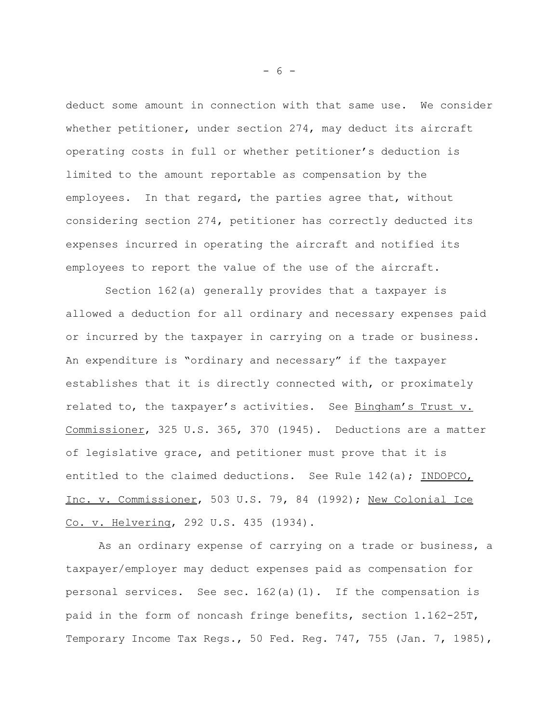deduct some amount in connection with that same use. We consider whether petitioner, under section 274, may deduct its aircraft operating costs in full or whether petitioner's deduction is limited to the amount reportable as compensation by the employees. In that regard, the parties agree that, without considering section 274, petitioner has correctly deducted its expenses incurred in operating the aircraft and notified its employees to report the value of the use of the aircraft.

 Section 162(a) generally provides that a taxpayer is allowed a deduction for all ordinary and necessary expenses paid or incurred by the taxpayer in carrying on a trade or business. An expenditure is "ordinary and necessary" if the taxpayer establishes that it is directly connected with, or proximately related to, the taxpayer's activities. See Bingham's Trust v. Commissioner, 325 U.S. 365, 370 (1945). Deductions are a matter of legislative grace, and petitioner must prove that it is entitled to the claimed deductions. See Rule 142(a); INDOPCO, Inc. v. Commissioner, 503 U.S. 79, 84 (1992); New Colonial Ice Co. v. Helvering, 292 U.S. 435 (1934).

As an ordinary expense of carrying on a trade or business, a taxpayer/employer may deduct expenses paid as compensation for personal services. See sec. 162(a)(1). If the compensation is paid in the form of noncash fringe benefits, section 1.162-25T, Temporary Income Tax Regs., 50 Fed. Reg. 747, 755 (Jan. 7, 1985),

- 6 -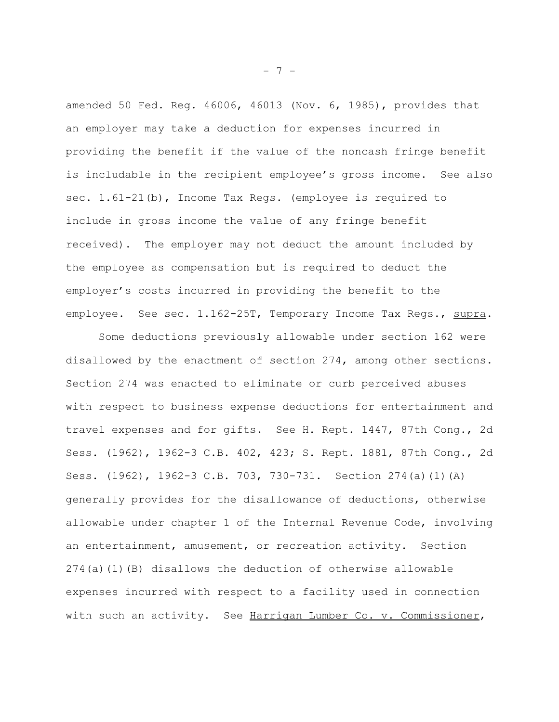amended 50 Fed. Reg. 46006, 46013 (Nov. 6, 1985), provides that an employer may take a deduction for expenses incurred in providing the benefit if the value of the noncash fringe benefit is includable in the recipient employee's gross income. See also sec. 1.61-21(b), Income Tax Regs. (employee is required to include in gross income the value of any fringe benefit received). The employer may not deduct the amount included by the employee as compensation but is required to deduct the employer's costs incurred in providing the benefit to the employee. See sec. 1.162-25T, Temporary Income Tax Regs., supra.

Some deductions previously allowable under section 162 were disallowed by the enactment of section 274, among other sections. Section 274 was enacted to eliminate or curb perceived abuses with respect to business expense deductions for entertainment and travel expenses and for gifts. See H. Rept. 1447, 87th Cong., 2d Sess. (1962), 1962-3 C.B. 402, 423; S. Rept. 1881, 87th Cong., 2d Sess. (1962), 1962-3 C.B. 703, 730-731. Section 274(a)(1)(A) generally provides for the disallowance of deductions, otherwise allowable under chapter 1 of the Internal Revenue Code, involving an entertainment, amusement, or recreation activity. Section 274(a)(1)(B) disallows the deduction of otherwise allowable expenses incurred with respect to a facility used in connection with such an activity. See Harrigan Lumber Co. v. Commissioner,

- 7 -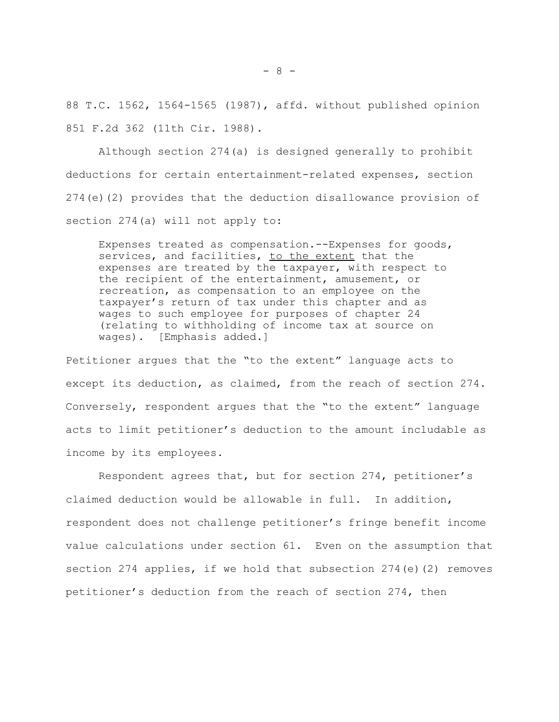88 T.C. 1562, 1564-1565 (1987), affd. without published opinion 851 F.2d 362 (11th Cir. 1988).

Although section 274(a) is designed generally to prohibit deductions for certain entertainment-related expenses, section 274(e)(2) provides that the deduction disallowance provision of section 274(a) will not apply to:

Expenses treated as compensation.--Expenses for goods, services, and facilities, to the extent that the expenses are treated by the taxpayer, with respect to the recipient of the entertainment, amusement, or recreation, as compensation to an employee on the taxpayer's return of tax under this chapter and as wages to such employee for purposes of chapter 24 (relating to withholding of income tax at source on wages). [Emphasis added.]

Petitioner argues that the "to the extent" language acts to except its deduction, as claimed, from the reach of section 274. Conversely, respondent argues that the "to the extent" language acts to limit petitioner's deduction to the amount includable as income by its employees.

Respondent agrees that, but for section 274, petitioner's claimed deduction would be allowable in full. In addition, respondent does not challenge petitioner's fringe benefit income value calculations under section 61. Even on the assumption that section 274 applies, if we hold that subsection 274(e)(2) removes petitioner's deduction from the reach of section 274, then

- 8 -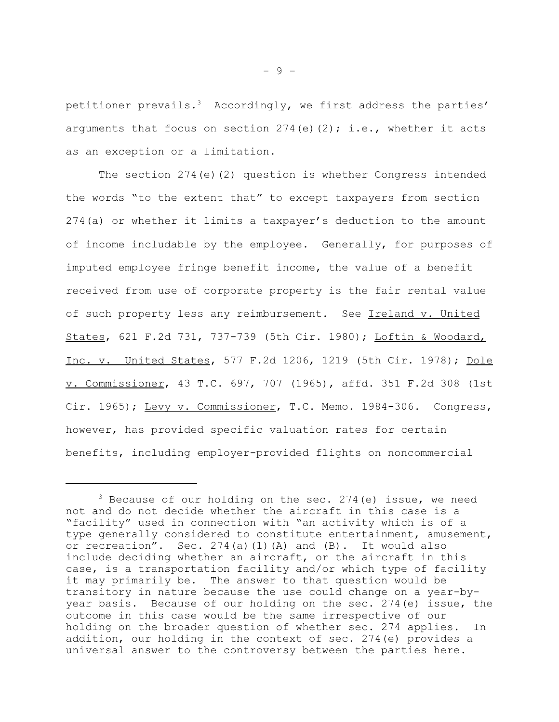petitioner prevails.<sup>3</sup> Accordingly, we first address the parties' arguments that focus on section  $274(e)(2)$ ; i.e., whether it acts as an exception or a limitation.

The section 274(e)(2) question is whether Congress intended the words "to the extent that" to except taxpayers from section 274(a) or whether it limits a taxpayer's deduction to the amount of income includable by the employee. Generally, for purposes of imputed employee fringe benefit income, the value of a benefit received from use of corporate property is the fair rental value of such property less any reimbursement. See Ireland v. United States, 621 F.2d 731, 737-739 (5th Cir. 1980); Loftin & Woodard, Inc. v. United States, 577 F.2d 1206, 1219 (5th Cir. 1978); Dole v. Commissioner, 43 T.C. 697, 707 (1965), affd. 351 F.2d 308 (1st Cir. 1965); Levy v. Commissioner, T.C. Memo. 1984-306. Congress, however, has provided specific valuation rates for certain benefits, including employer-provided flights on noncommercial

 $3$  Because of our holding on the sec. 274 (e) issue, we need not and do not decide whether the aircraft in this case is a "facility" used in connection with "an activity which is of a type generally considered to constitute entertainment, amusement, or recreation". Sec.  $274(a)(1)(A)$  and  $(B)$ . It would also include deciding whether an aircraft, or the aircraft in this case, is a transportation facility and/or which type of facility it may primarily be. The answer to that question would be transitory in nature because the use could change on a year-byyear basis. Because of our holding on the sec. 274(e) issue, the outcome in this case would be the same irrespective of our holding on the broader question of whether sec. 274 applies. In addition, our holding in the context of sec. 274(e) provides a universal answer to the controversy between the parties here.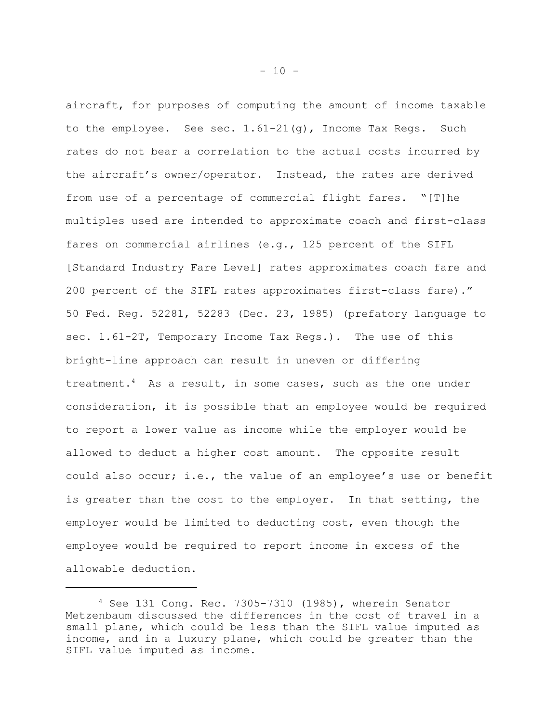aircraft, for purposes of computing the amount of income taxable to the employee. See sec.  $1.61-21(q)$ , Income Tax Reqs. Such rates do not bear a correlation to the actual costs incurred by the aircraft's owner/operator. Instead, the rates are derived from use of a percentage of commercial flight fares. "[T]he multiples used are intended to approximate coach and first-class fares on commercial airlines (e.g., 125 percent of the SIFL [Standard Industry Fare Level] rates approximates coach fare and 200 percent of the SIFL rates approximates first-class fare)." 50 Fed. Reg. 52281, 52283 (Dec. 23, 1985) (prefatory language to sec. 1.61-2T, Temporary Income Tax Regs.). The use of this bright-line approach can result in uneven or differing treatment.4 As a result, in some cases, such as the one under consideration, it is possible that an employee would be required to report a lower value as income while the employer would be allowed to deduct a higher cost amount. The opposite result could also occur; i.e., the value of an employee's use or benefit is greater than the cost to the employer. In that setting, the employer would be limited to deducting cost, even though the employee would be required to report income in excess of the allowable deduction.

<sup>4</sup> See 131 Cong. Rec. 7305-7310 (1985), wherein Senator Metzenbaum discussed the differences in the cost of travel in a small plane, which could be less than the SIFL value imputed as income, and in a luxury plane, which could be greater than the SIFL value imputed as income.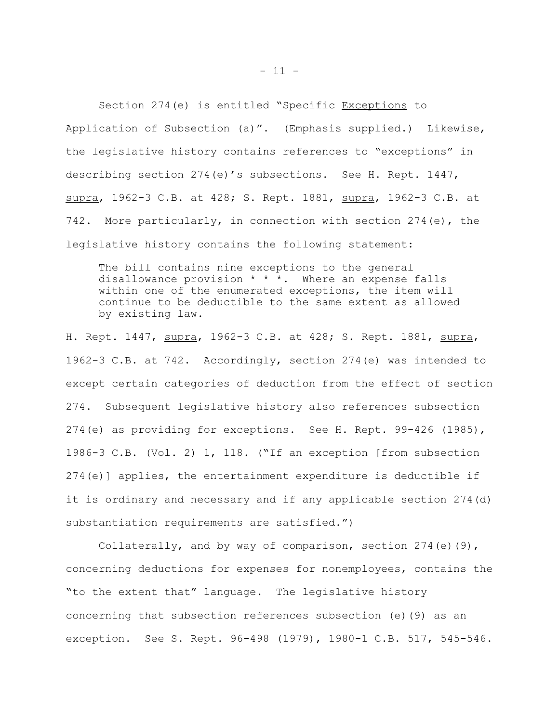Section 274(e) is entitled "Specific Exceptions to Application of Subsection (a)". (Emphasis supplied.) Likewise, the legislative history contains references to "exceptions" in describing section 274(e)'s subsections. See H. Rept. 1447, supra, 1962-3 C.B. at 428; S. Rept. 1881, supra, 1962-3 C.B. at 742. More particularly, in connection with section 274(e), the legislative history contains the following statement:

The bill contains nine exceptions to the general disallowance provision \* \* \*. Where an expense falls within one of the enumerated exceptions, the item will continue to be deductible to the same extent as allowed by existing law.

H. Rept. 1447, supra, 1962-3 C.B. at 428; S. Rept. 1881, supra, 1962-3 C.B. at 742. Accordingly, section 274(e) was intended to except certain categories of deduction from the effect of section 274. Subsequent legislative history also references subsection 274(e) as providing for exceptions. See H. Rept. 99-426 (1985), 1986-3 C.B. (Vol. 2) 1, 118. ("If an exception [from subsection 274(e)] applies, the entertainment expenditure is deductible if it is ordinary and necessary and if any applicable section 274(d) substantiation requirements are satisfied.")

Collaterally, and by way of comparison, section  $274(e)(9)$ , concerning deductions for expenses for nonemployees, contains the "to the extent that" language. The legislative history concerning that subsection references subsection (e)(9) as an exception. See S. Rept. 96-498 (1979), 1980-1 C.B. 517, 545-546.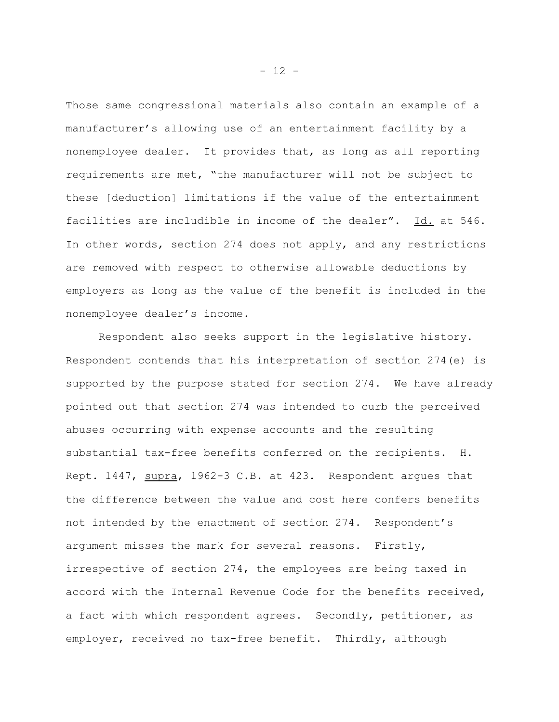Those same congressional materials also contain an example of a manufacturer's allowing use of an entertainment facility by a nonemployee dealer. It provides that, as long as all reporting requirements are met, "the manufacturer will not be subject to these [deduction] limitations if the value of the entertainment facilities are includible in income of the dealer". Id. at 546. In other words, section 274 does not apply, and any restrictions are removed with respect to otherwise allowable deductions by employers as long as the value of the benefit is included in the nonemployee dealer's income.

Respondent also seeks support in the legislative history. Respondent contends that his interpretation of section 274(e) is supported by the purpose stated for section 274. We have already pointed out that section 274 was intended to curb the perceived abuses occurring with expense accounts and the resulting substantial tax-free benefits conferred on the recipients. H. Rept. 1447, supra, 1962-3 C.B. at 423. Respondent argues that the difference between the value and cost here confers benefits not intended by the enactment of section 274. Respondent's argument misses the mark for several reasons. Firstly, irrespective of section 274, the employees are being taxed in accord with the Internal Revenue Code for the benefits received, a fact with which respondent agrees. Secondly, petitioner, as employer, received no tax-free benefit. Thirdly, although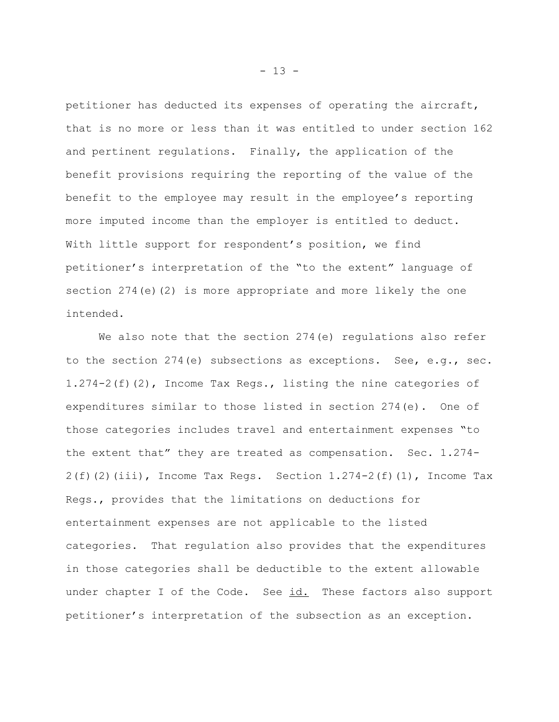petitioner has deducted its expenses of operating the aircraft, that is no more or less than it was entitled to under section 162 and pertinent regulations. Finally, the application of the benefit provisions requiring the reporting of the value of the benefit to the employee may result in the employee's reporting more imputed income than the employer is entitled to deduct. With little support for respondent's position, we find petitioner's interpretation of the "to the extent" language of section  $274(e)(2)$  is more appropriate and more likely the one intended.

We also note that the section 274(e) regulations also refer to the section 274(e) subsections as exceptions. See, e.g., sec. 1.274-2(f)(2), Income Tax Regs., listing the nine categories of expenditures similar to those listed in section 274(e). One of those categories includes travel and entertainment expenses "to the extent that" they are treated as compensation. Sec. 1.274-  $2(f)(2)(iii)$ , Income Tax Regs. Section  $1.274-2(f)(1)$ , Income Tax Regs., provides that the limitations on deductions for entertainment expenses are not applicable to the listed categories. That regulation also provides that the expenditures in those categories shall be deductible to the extent allowable under chapter I of the Code. See id. These factors also support petitioner's interpretation of the subsection as an exception.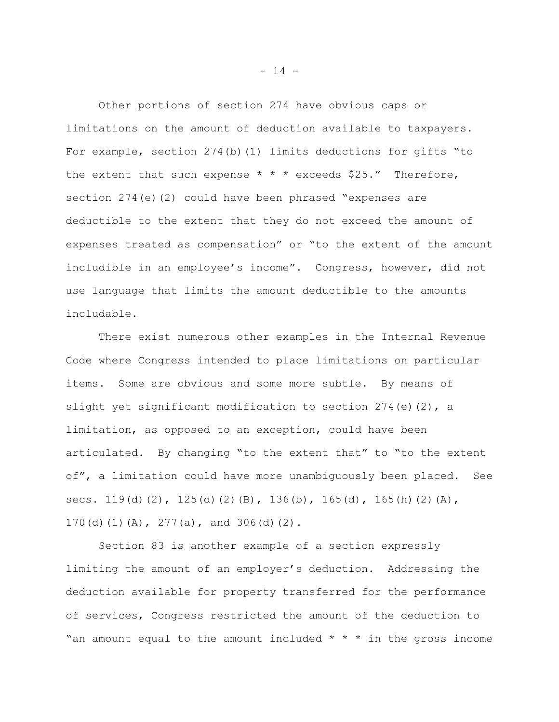Other portions of section 274 have obvious caps or limitations on the amount of deduction available to taxpayers. For example, section  $274(b)(1)$  limits deductions for gifts "to the extent that such expense  $* * *$  exceeds \$25." Therefore, section  $274(e)(2)$  could have been phrased "expenses are deductible to the extent that they do not exceed the amount of expenses treated as compensation" or "to the extent of the amount includible in an employee's income". Congress, however, did not use language that limits the amount deductible to the amounts includable.

There exist numerous other examples in the Internal Revenue Code where Congress intended to place limitations on particular items. Some are obvious and some more subtle. By means of slight yet significant modification to section  $274(e)(2)$ , a limitation, as opposed to an exception, could have been articulated. By changing "to the extent that" to "to the extent of", a limitation could have more unambiguously been placed. See secs. 119(d)(2), 125(d)(2)(B), 136(b), 165(d), 165(h)(2)(A), 170(d)(1)(A), 277(a), and 306(d)(2).

Section 83 is another example of a section expressly limiting the amount of an employer's deduction. Addressing the deduction available for property transferred for the performance of services, Congress restricted the amount of the deduction to "an amount equal to the amount included  $* * *$  in the gross income

 $- 14 -$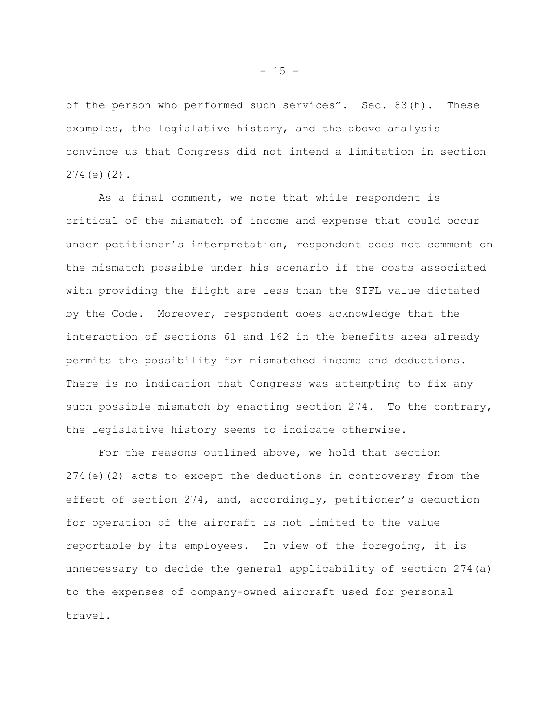of the person who performed such services". Sec. 83(h). These examples, the legislative history, and the above analysis convince us that Congress did not intend a limitation in section 274(e)(2).

As a final comment, we note that while respondent is critical of the mismatch of income and expense that could occur under petitioner's interpretation, respondent does not comment on the mismatch possible under his scenario if the costs associated with providing the flight are less than the SIFL value dictated by the Code. Moreover, respondent does acknowledge that the interaction of sections 61 and 162 in the benefits area already permits the possibility for mismatched income and deductions. There is no indication that Congress was attempting to fix any such possible mismatch by enacting section 274. To the contrary, the legislative history seems to indicate otherwise.

For the reasons outlined above, we hold that section 274(e)(2) acts to except the deductions in controversy from the effect of section 274, and, accordingly, petitioner's deduction for operation of the aircraft is not limited to the value reportable by its employees. In view of the foregoing, it is unnecessary to decide the general applicability of section 274(a) to the expenses of company-owned aircraft used for personal travel.